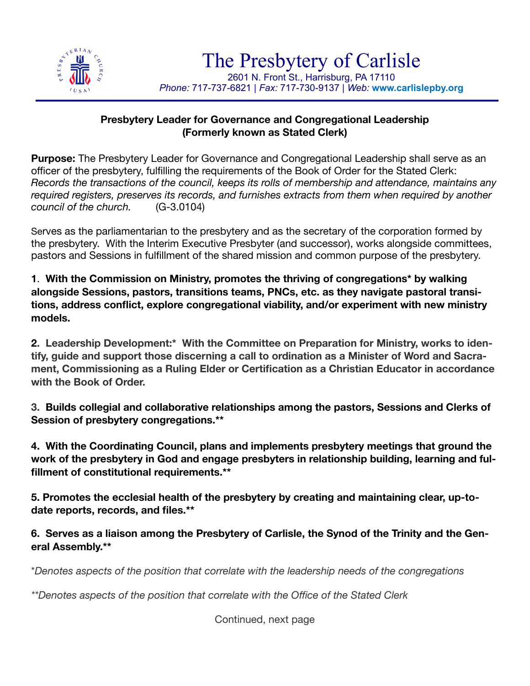

## **Presbytery Leader for Governance and Congregational Leadership (Formerly known as Stated Clerk)**

**Purpose:** The Presbytery Leader for Governance and Congregational Leadership shall serve as an officer of the presbytery, fulfilling the requirements of the Book of Order for the Stated Clerk: *Records the transactions of the council, keeps its rolls of membership and attendance, maintains any required registers, preserves its records, and furnishes extracts from them when required by another council of the church.* (G-3.0104)

Serves as the parliamentarian to the presbytery and as the secretary of the corporation formed by the presbytery. With the Interim Executive Presbyter (and successor), works alongside committees, pastors and Sessions in fulfillment of the shared mission and common purpose of the presbytery.

**1**. **With the Commission on Ministry, promotes the thriving of congregations\* by walking alongside Sessions, pastors, transitions teams, PNCs, etc. as they navigate pastoral transitions, address conflict, explore congregational viability, and/or experiment with new ministry models.** 

**2. Leadership Development:\* With the Committee on Preparation for Ministry, works to identify, guide and support those discerning a call to ordination as a Minister of Word and Sacrament, Commissioning as a Ruling Elder or Certification as a Christian Educator in accordance with the Book of Order.**

**3. Builds collegial and collaborative relationships among the pastors, Sessions and Clerks of Session of presbytery congregations.\*\*** 

**4. With the Coordinating Council, plans and implements presbytery meetings that ground the work of the presbytery in God and engage presbyters in relationship building, learning and fulfillment of constitutional requirements.\*\*** 

**5. Promotes the ecclesial health of the presbytery by creating and maintaining clear, up-todate reports, records, and files.\*\***

**6. Serves as a liaison among the Presbytery of Carlisle, the Synod of the Trinity and the General Assembly.\*\***

\**Denotes aspects of the position that correlate with the leadership needs of the congregations* 

*\*\*Denotes aspects of the position that correlate with the Office of the Stated Clerk* 

Continued, next page